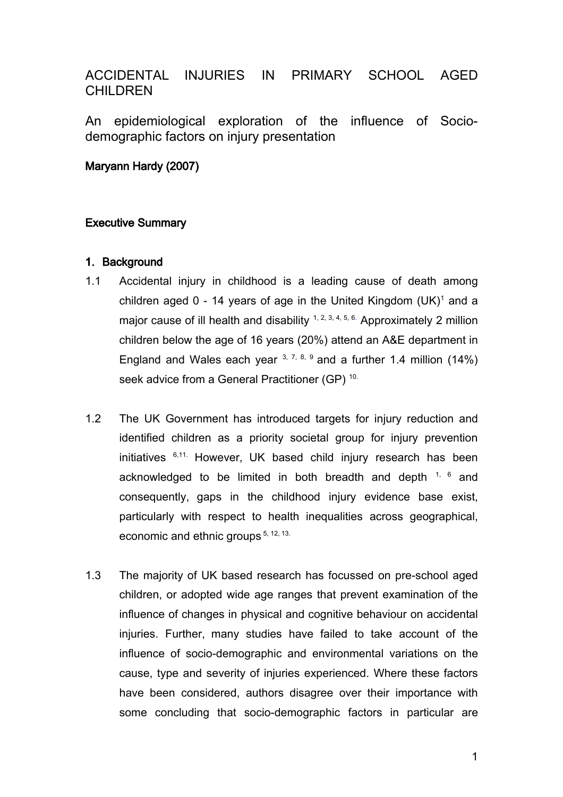# ACCIDENTAL INJURIES IN PRIMARY SCHOOL AGED **CHILDREN**

An epidemiological exploration of the influence of Sociodemographic factors on injury presentation

### Maryann Hardy (2007)

### Executive Summary

### 1. Background

- 1.1 Accidental injury in childhood is a leading cause of death among children aged  $0 - 14$  years of age in the United Kingdom (UK)<sup>1</sup> and a major cause of ill health and disability  $1, 2, 3, 4, 5, 6$ . Approximately 2 million children below the age of 16 years (20%) attend an A&E department in England and Wales each year  $3, 7, 8, 9$  and a further 1.4 million (14%) seek advice from a General Practitioner (GP)<sup>10.</sup>
- 1.2 The UK Government has introduced targets for injury reduction and identified children as a priority societal group for injury prevention initiatives 6,11. However, UK based child injury research has been acknowledged to be limited in both breadth and depth  $1, 6$  and consequently, gaps in the childhood injury evidence base exist, particularly with respect to health inequalities across geographical, economic and ethnic groups<sup>5, 12, 13.</sup>
- 1.3 The majority of UK based research has focussed on pre-school aged children, or adopted wide age ranges that prevent examination of the influence of changes in physical and cognitive behaviour on accidental injuries. Further, many studies have failed to take account of the influence of socio-demographic and environmental variations on the cause, type and severity of injuries experienced. Where these factors have been considered, authors disagree over their importance with some concluding that socio-demographic factors in particular are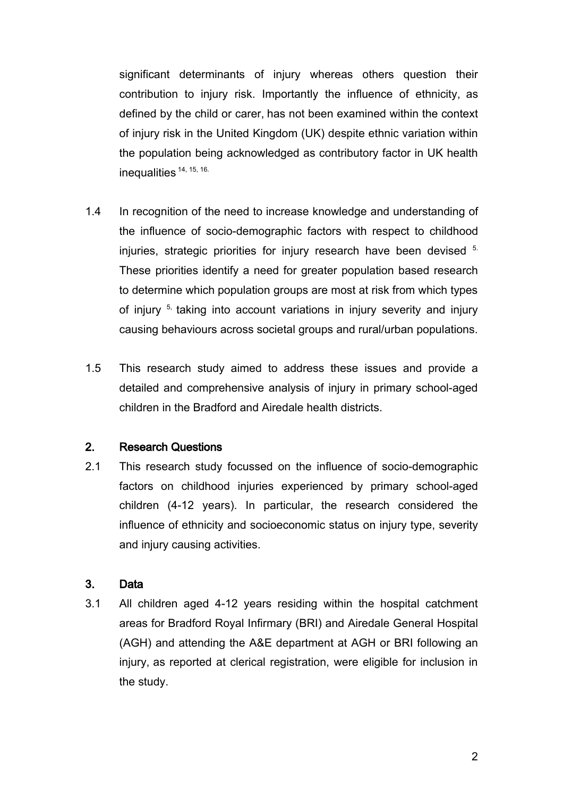significant determinants of injury whereas others question their contribution to injury risk. Importantly the influence of ethnicity, as defined by the child or carer, has not been examined within the context of injury risk in the United Kingdom (UK) despite ethnic variation within the population being acknowledged as contributory factor in UK health inequalities <sup>14, 15, 16.</sup>

- 1.4 In recognition of the need to increase knowledge and understanding of the influence of socio-demographic factors with respect to childhood injuries, strategic priorities for injury research have been devised 5. These priorities identify a need for greater population based research to determine which population groups are most at risk from which types of injury<sup>5,</sup> taking into account variations in injury severity and injury causing behaviours across societal groups and rural/urban populations.
- 1.5 This research study aimed to address these issues and provide a detailed and comprehensive analysis of injury in primary school-aged children in the Bradford and Airedale health districts.

### 2. Research Questions

2.1 This research study focussed on the influence of socio-demographic factors on childhood injuries experienced by primary school-aged children (4-12 years). In particular, the research considered the influence of ethnicity and socioeconomic status on injury type, severity and injury causing activities.

## 3. Data

3.1 All children aged 4-12 years residing within the hospital catchment areas for Bradford Royal Infirmary (BRI) and Airedale General Hospital (AGH) and attending the A&E department at AGH or BRI following an injury, as reported at clerical registration, were eligible for inclusion in the study.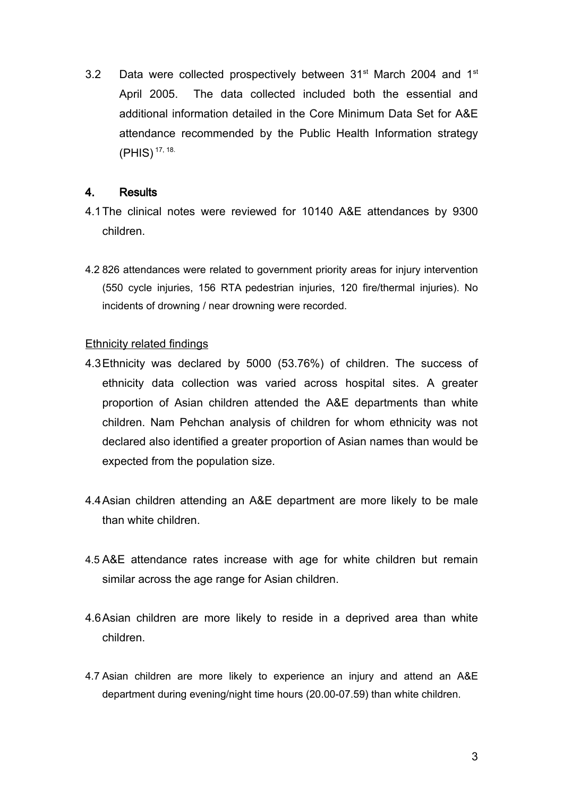3.2 Data were collected prospectively between 31<sup>st</sup> March 2004 and 1<sup>st</sup> April 2005. The data collected included both the essential and additional information detailed in the Core Minimum Data Set for A&E attendance recommended by the Public Health Information strategy (PHIS) 17, 18.

### 4. Results

- 4.1The clinical notes were reviewed for 10140 A&E attendances by 9300 children.
- 4.2 826 attendances were related to government priority areas for injury intervention (550 cycle injuries, 156 RTA pedestrian injuries, 120 fire/thermal injuries). No incidents of drowning / near drowning were recorded.

#### Ethnicity related findings

- 4.3Ethnicity was declared by 5000 (53.76%) of children. The success of ethnicity data collection was varied across hospital sites. A greater proportion of Asian children attended the A&E departments than white children. Nam Pehchan analysis of children for whom ethnicity was not declared also identified a greater proportion of Asian names than would be expected from the population size.
- 4.4Asian children attending an A&E department are more likely to be male than white children.
- 4.5 A&E attendance rates increase with age for white children but remain similar across the age range for Asian children.
- 4.6Asian children are more likely to reside in a deprived area than white children.
- 4.7 Asian children are more likely to experience an injury and attend an A&E department during evening/night time hours (20.00-07.59) than white children.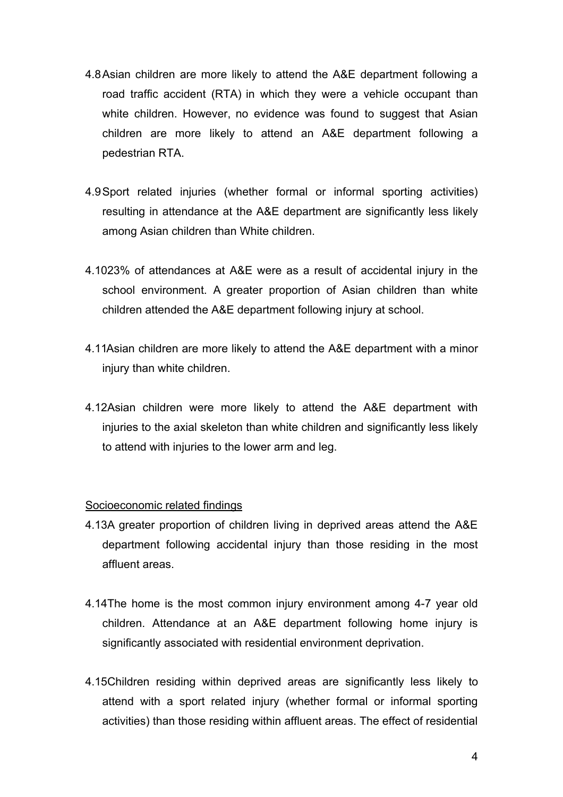- 4.8Asian children are more likely to attend the A&E department following a road traffic accident (RTA) in which they were a vehicle occupant than white children. However, no evidence was found to suggest that Asian children are more likely to attend an A&E department following a pedestrian RTA.
- 4.9Sport related injuries (whether formal or informal sporting activities) resulting in attendance at the A&E department are significantly less likely among Asian children than White children.
- 4.1023% of attendances at A&E were as a result of accidental injury in the school environment. A greater proportion of Asian children than white children attended the A&E department following injury at school.
- 4.11Asian children are more likely to attend the A&E department with a minor injury than white children.
- 4.12Asian children were more likely to attend the A&E department with injuries to the axial skeleton than white children and significantly less likely to attend with injuries to the lower arm and leg.

#### Socioeconomic related findings

- 4.13A greater proportion of children living in deprived areas attend the A&E department following accidental injury than those residing in the most affluent areas.
- 4.14The home is the most common injury environment among 4-7 year old children. Attendance at an A&E department following home injury is significantly associated with residential environment deprivation.
- 4.15Children residing within deprived areas are significantly less likely to attend with a sport related injury (whether formal or informal sporting activities) than those residing within affluent areas. The effect of residential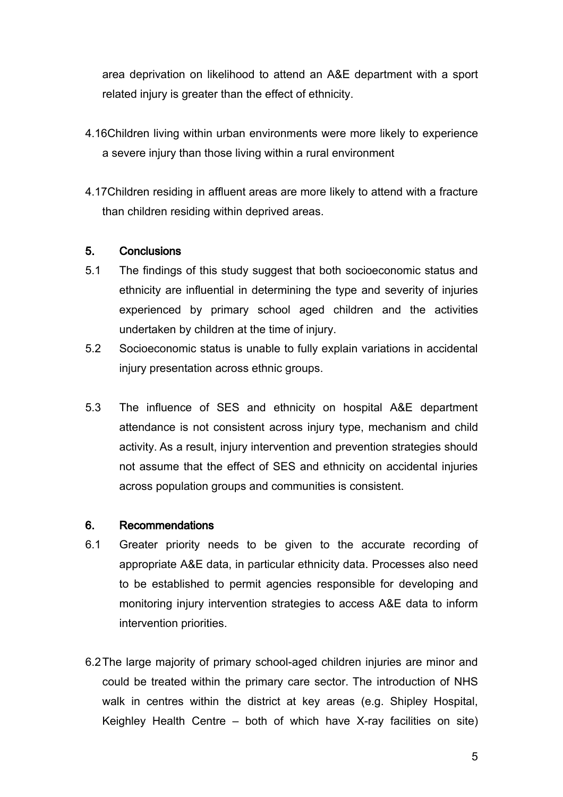area deprivation on likelihood to attend an A&E department with a sport related injury is greater than the effect of ethnicity.

- 4.16Children living within urban environments were more likely to experience a severe injury than those living within a rural environment
- 4.17Children residing in affluent areas are more likely to attend with a fracture than children residing within deprived areas.

### 5. Conclusions

- 5.1 The findings of this study suggest that both socioeconomic status and ethnicity are influential in determining the type and severity of injuries experienced by primary school aged children and the activities undertaken by children at the time of injury.
- 5.2 Socioeconomic status is unable to fully explain variations in accidental injury presentation across ethnic groups.
- 5.3 The influence of SES and ethnicity on hospital A&E department attendance is not consistent across injury type, mechanism and child activity. As a result, injury intervention and prevention strategies should not assume that the effect of SES and ethnicity on accidental injuries across population groups and communities is consistent.

#### 6. Recommendations

- 6.1 Greater priority needs to be given to the accurate recording of appropriate A&E data, in particular ethnicity data. Processes also need to be established to permit agencies responsible for developing and monitoring injury intervention strategies to access A&E data to inform intervention priorities.
- 6.2The large majority of primary school-aged children injuries are minor and could be treated within the primary care sector. The introduction of NHS walk in centres within the district at key areas (e.g. Shipley Hospital, Keighley Health Centre – both of which have X-ray facilities on site)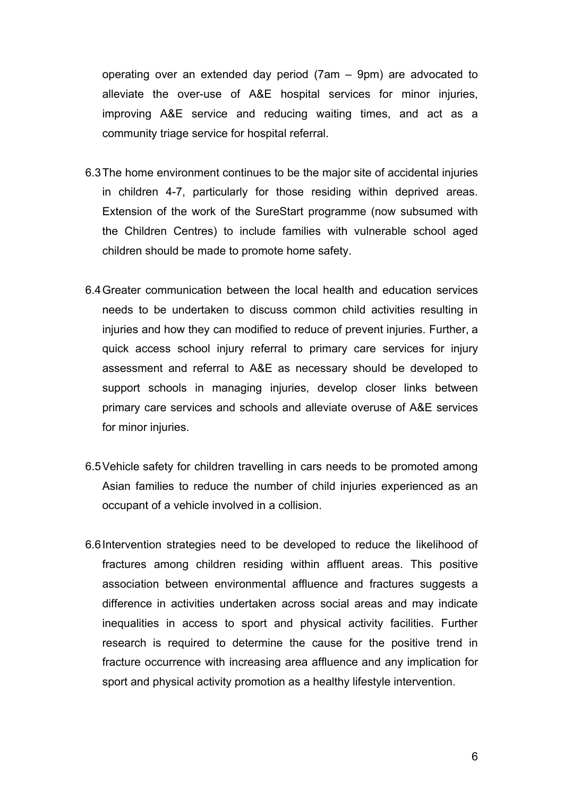operating over an extended day period (7am – 9pm) are advocated to alleviate the over-use of A&E hospital services for minor injuries, improving A&E service and reducing waiting times, and act as a community triage service for hospital referral.

- 6.3The home environment continues to be the major site of accidental injuries in children 4-7, particularly for those residing within deprived areas. Extension of the work of the SureStart programme (now subsumed with the Children Centres) to include families with vulnerable school aged children should be made to promote home safety.
- 6.4Greater communication between the local health and education services needs to be undertaken to discuss common child activities resulting in injuries and how they can modified to reduce of prevent injuries. Further, a quick access school injury referral to primary care services for injury assessment and referral to A&E as necessary should be developed to support schools in managing injuries, develop closer links between primary care services and schools and alleviate overuse of A&E services for minor injuries.
- 6.5Vehicle safety for children travelling in cars needs to be promoted among Asian families to reduce the number of child injuries experienced as an occupant of a vehicle involved in a collision.
- 6.6Intervention strategies need to be developed to reduce the likelihood of fractures among children residing within affluent areas. This positive association between environmental affluence and fractures suggests a difference in activities undertaken across social areas and may indicate inequalities in access to sport and physical activity facilities. Further research is required to determine the cause for the positive trend in fracture occurrence with increasing area affluence and any implication for sport and physical activity promotion as a healthy lifestyle intervention.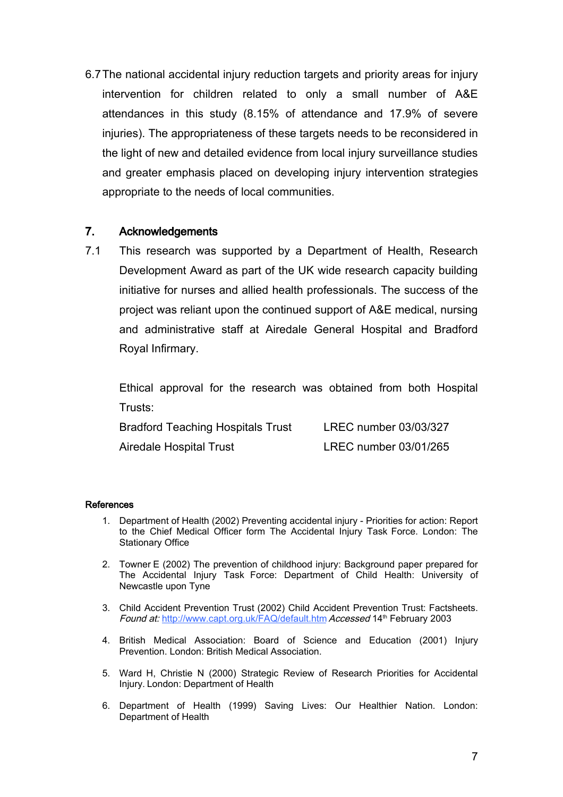6.7The national accidental injury reduction targets and priority areas for injury intervention for children related to only a small number of A&E attendances in this study (8.15% of attendance and 17.9% of severe injuries). The appropriateness of these targets needs to be reconsidered in the light of new and detailed evidence from local injury surveillance studies and greater emphasis placed on developing injury intervention strategies appropriate to the needs of local communities.

### 7. Acknowledgements

7.1 This research was supported by a Department of Health, Research Development Award as part of the UK wide research capacity building initiative for nurses and allied health professionals. The success of the project was reliant upon the continued support of A&E medical, nursing and administrative staff at Airedale General Hospital and Bradford Royal Infirmary.

Ethical approval for the research was obtained from both Hospital Trusts:

| <b>Bradford Teaching Hospitals Trust</b> | LREC number 03/03/327 |
|------------------------------------------|-----------------------|
| Airedale Hospital Trust                  | LREC number 03/01/265 |

#### **References**

- 1. Department of Health (2002) Preventing accidental injury Priorities for action: Report to the Chief Medical Officer form The Accidental Injury Task Force. London: The Stationary Office
- 2. Towner E (2002) The prevention of childhood injury: Background paper prepared for The Accidental Injury Task Force: Department of Child Health: University of Newcastle upon Tyne
- 3. Child Accident Prevention Trust (2002) Child Accident Prevention Trust: Factsheets. Found at: <http://www.capt.org.uk/FAQ/default.htm> Accessed 14<sup>th</sup> February 2003
- 4. British Medical Association: Board of Science and Education (2001) Injury Prevention. London: British Medical Association.
- 5. Ward H, Christie N (2000) Strategic Review of Research Priorities for Accidental Injury. London: Department of Health
- 6. Department of Health (1999) Saving Lives: Our Healthier Nation. London: Department of Health